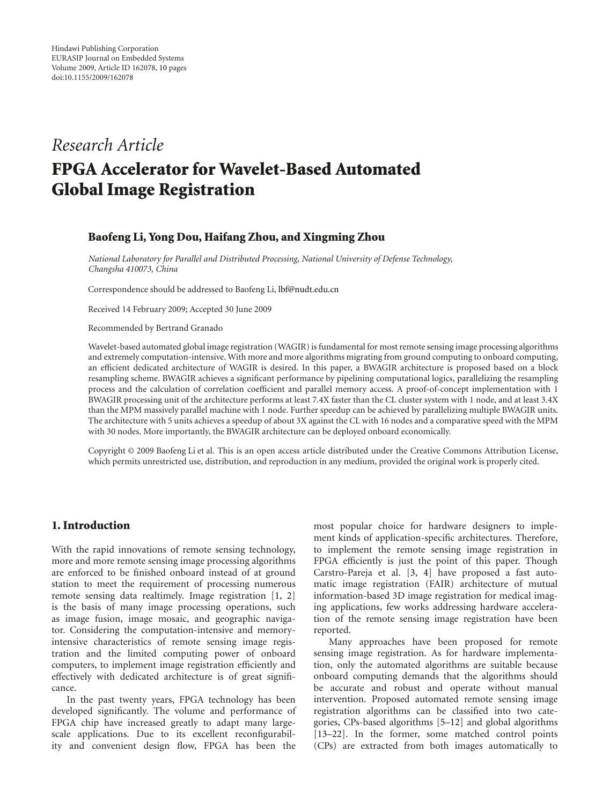# *Research Article*

# **FPGA Accelerator for Wavelet-Based Automated Global Image Registration**

### **Baofeng Li, Yong Dou, Haifang Zhou, and Xingming Zhou**

*National Laboratory for Parallel and Distributed Processing, National University of Defense Technology, Changsha 410073, China*

Correspondence should be addressed to Baofeng Li, lbf@nudt.edu.cn

Received 14 February 2009; Accepted 30 June 2009

Recommended by Bertrand Granado

Wavelet-based automated global image registration (WAGIR) is fundamental for most remote sensing image processing algorithms and extremely computation-intensive. With more and more algorithms migrating from ground computing to onboard computing, an efficient dedicated architecture of WAGIR is desired. In this paper, a BWAGIR architecture is proposed based on a block resampling scheme. BWAGIR achieves a significant performance by pipelining computational logics, parallelizing the resampling process and the calculation of correlation coefficient and parallel memory access. A proof-of-concept implementation with 1 BWAGIR processing unit of the architecture performs at least 7.4X faster than the CL cluster system with 1 node, and at least 3.4X than the MPM massively parallel machine with 1 node. Further speedup can be achieved by parallelizing multiple BWAGIR units. The architecture with 5 units achieves a speedup of about 3X against the CL with 16 nodes and a comparative speed with the MPM with 30 nodes. More importantly, the BWAGIR architecture can be deployed onboard economically.

Copyright © 2009 Baofeng Li et al. This is an open access article distributed under the Creative Commons Attribution License, which permits unrestricted use, distribution, and reproduction in any medium, provided the original work is properly cited.

# **1. Introduction**

With the rapid innovations of remote sensing technology, more and more remote sensing image processing algorithms are enforced to be finished onboard instead of at ground station to meet the requirement of processing numerous remote sensing data realtimely. Image registration [1, 2] is the basis of many image processing operations, such as image fusion, image mosaic, and geographic navigator. Considering the computation-intensive and memoryintensive characteristics of remote sensing image registration and the limited computing power of onboard computers, to implement image registration efficiently and effectively with dedicated architecture is of great significance.

In the past twenty years, FPGA technology has been developed significantly. The volume and performance of FPGA chip have increased greatly to adapt many largescale applications. Due to its excellent reconfigurability and convenient design flow, FPGA has been the

most popular choice for hardware designers to implement kinds of application-specific architectures. Therefore, to implement the remote sensing image registration in FPGA efficiently is just the point of this paper. Though Carstro-Pareja et al. [3, 4] have proposed a fast automatic image registration (FAIR) architecture of mutual information-based 3D image registration for medical imaging applications, few works addressing hardware acceleration of the remote sensing image registration have been reported.

Many approaches have been proposed for remote sensing image registration. As for hardware implementation, only the automated algorithms are suitable because onboard computing demands that the algorithms should be accurate and robust and operate without manual intervention. Proposed automated remote sensing image registration algorithms can be classified into two categories, CPs-based algorithms [5–12] and global algorithms [13–22]. In the former, some matched control points (CPs) are extracted from both images automatically to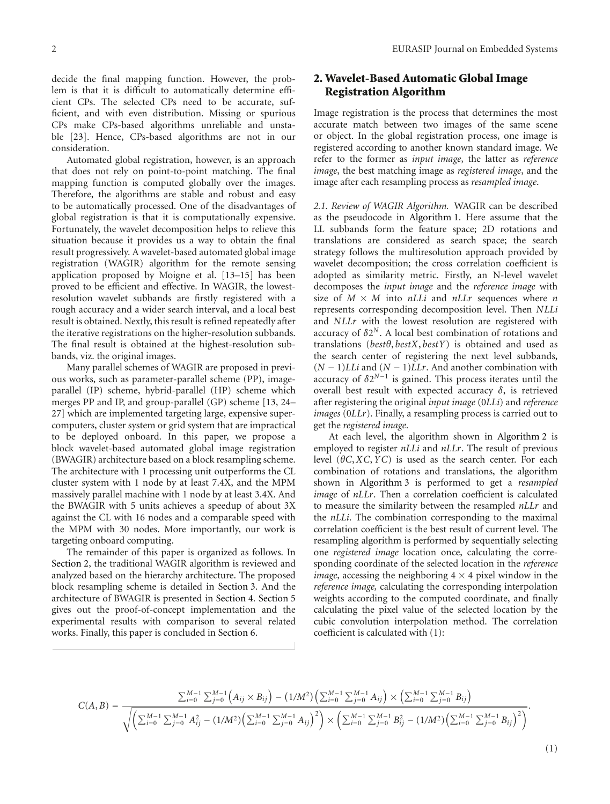decide the final mapping function. However, the problem is that it is difficult to automatically determine efficient CPs. The selected CPs need to be accurate, sufficient, and with even distribution. Missing or spurious CPs make CPs-based algorithms unreliable and unstable [23]. Hence, CPs-based algorithms are not in our consideration.

Automated global registration, however, is an approach that does not rely on point-to-point matching. The final mapping function is computed globally over the images. Therefore, the algorithms are stable and robust and easy to be automatically processed. One of the disadvantages of global registration is that it is computationally expensive. Fortunately, the wavelet decomposition helps to relieve this situation because it provides us a way to obtain the final result progressively. A wavelet-based automated global image registration (WAGIR) algorithm for the remote sensing application proposed by Moigne et al. [13–15] has been proved to be efficient and effective. In WAGIR, the lowestresolution wavelet subbands are firstly registered with a rough accuracy and a wider search interval, and a local best result is obtained. Nextly, this result is refined repeatedly after the iterative registrations on the higher-resolution subbands. The final result is obtained at the highest-resolution subbands, viz. the original images.

Many parallel schemes of WAGIR are proposed in previous works, such as parameter-parallel scheme (PP), imageparallel (IP) scheme, hybrid-parallel (HP) scheme which merges PP and IP, and group-parallel (GP) scheme [13, 24– 27] which are implemented targeting large, expensive supercomputers, cluster system or grid system that are impractical to be deployed onboard. In this paper, we propose a block wavelet-based automated global image registration (BWAGIR) architecture based on a block resampling scheme. The architecture with 1 processing unit outperforms the CL cluster system with 1 node by at least 7.4X, and the MPM massively parallel machine with 1 node by at least 3.4X. And the BWAGIR with 5 units achieves a speedup of about 3X against the CL with 16 nodes and a comparable speed with the MPM with 30 nodes. More importantly, our work is targeting onboard computing.

The remainder of this paper is organized as follows. In Section 2, the traditional WAGIR algorithm is reviewed and analyzed based on the hierarchy architecture. The proposed block resampling scheme is detailed in Section 3. And the architecture of BWAGIR is presented in Section 4. Section 5 gives out the proof-of-concept implementation and the experimental results with comparison to several related works. Finally, this paper is concluded in Section 6.

# **2. Wavelet-Based Automatic Global Image Registration Algorithm**

Image registration is the process that determines the most accurate match between two images of the same scene or object. In the global registration process, one image is registered according to another known standard image. We refer to the former as *input image*, the latter as *reference image*, the best matching image as *registered image*, and the image after each resampling process as *resampled image*.

*2.1. Review of WAGIR Algorithm.* WAGIR can be described as the pseudocode in Algorithm 1. Here assume that the LL subbands form the feature space; 2D rotations and translations are considered as search space; the search strategy follows the multiresolution approach provided by wavelet decomposition; the cross correlation coefficient is adopted as similarity metric. Firstly, an N-level wavelet decomposes the *input image* and the *reference image* with size of  $M \times M$  into  $nLLi$  and  $nLLr$  sequences where *n* represents corresponding decomposition level. Then *NLLi* and *NLLr* with the lowest resolution are registered with accuracy of  $\delta 2^N$ . A local best combination of rotations and translations (*bestθ*, *bestX*, *bestY*) is obtained and used as the search center of registering the next level subbands, (*N* − 1)*LLi* and (*N* − 1)*LLr*. And another combination with accuracy of  $\delta 2^{N-1}$  is gained. This process iterates until the overall best result with expected accuracy *δ*, is retrieved after registering the original *input image* (0*LLi*) and *reference images* (0*LLr*). Finally, a resampling process is carried out to get the *registered image*.

At each level, the algorithm shown in Algorithm 2 is employed to register *nLLi* and *nLLr*. The result of previous level (*θC*,*XC*,*YC*) is used as the search center. For each combination of rotations and translations, the algorithm shown in Algorithm 3 is performed to get a *resampled image* of *nLLr*. Then a correlation coefficient is calculated to measure the similarity between the resampled *nLLr* and the *nLLi*. The combination corresponding to the maximal correlation coefficient is the best result of current level. The resampling algorithm is performed by sequentially selecting one *registered image* location once, calculating the corresponding coordinate of the selected location in the *reference image*, accessing the neighboring  $4 \times 4$  pixel window in the *reference image,* calculating the corresponding interpolation weights according to the computed coordinate, and finally calculating the pixel value of the selected location by the cubic convolution interpolation method. The correlation coefficient is calculated with (1):

$$
C(A,B) = \frac{\sum_{i=0}^{M-1} \sum_{j=0}^{M-1} (A_{ij} \times B_{ij}) - (1/M^2) (\sum_{i=0}^{M-1} \sum_{j=0}^{M-1} A_{ij}) \times (\sum_{i=0}^{M-1} \sum_{j=0}^{M-1} B_{ij})}{\sqrt{\left(\sum_{i=0}^{M-1} \sum_{j=0}^{M-1} A_{ij}^2 - (1/M^2) (\sum_{i=0}^{M-1} \sum_{j=0}^{M-1} A_{ij})^2\right) \times \left(\sum_{i=0}^{M-1} \sum_{j=0}^{M-1} B_{ij}^2 - (1/M^2) (\sum_{i=0}^{M-1} \sum_{j=0}^{M-1} B_{ij})^2\right)}}.
$$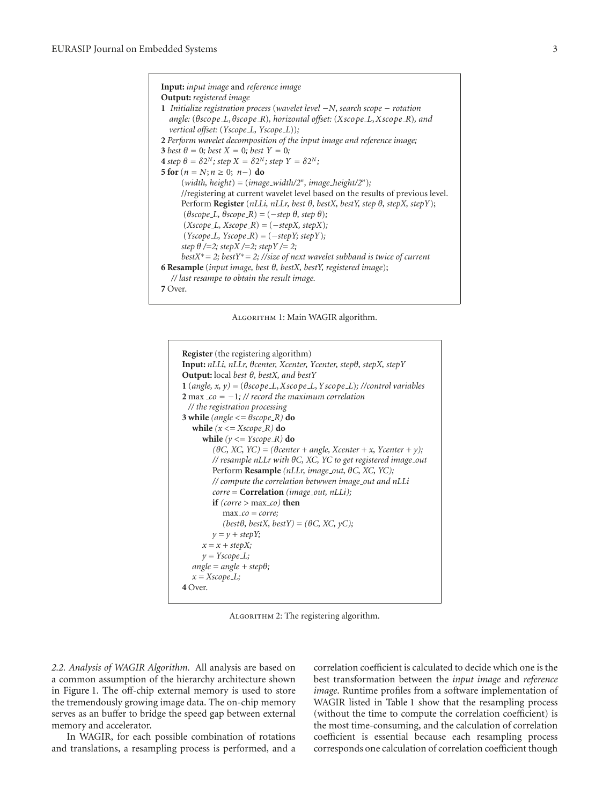**Input:** *input image* and *reference image* **Output:** *registered image* **1** *Initialize registration process* (*wavelet level* −*N*, *search scope* − *rotation angle:* (*θscope L*, *θscope R*)*, horizontal offset:* (*Xscope L*,*Xscope R*)*, and vertical offset:* (*Yscope L, Yscope L*))*;* **2** *Perform wavelet decomposition of the input image and reference image;* **3** *best*  $\theta = 0$ *; best*  $X = 0$ *; best*  $Y = 0$ *;* **4** *step*  $\theta = \delta 2^N$ ; *step*  $X = \delta 2^N$ ; *step*  $Y = \delta 2^N$ ; **5 for**  $(n = N; n \ge 0; n-)$  **do**  $(width, height) = (image_width/2^n, image_hieight/2^n);$ //registering at current wavelet level based on the results of previous level. Perform **Register** (*nLLi, nLLr, best θ, bestX, bestY, step θ, stepX, stepY*); (*θscope L, θscope R*) *=* (−*step θ, step θ*)*;* (*Xscope L, Xscope R*) *=* (−*stepX, stepX*)*;*  $(Yscope\_L, Yscope\_R) = (-stepY; stepY);$ *step θ /=2; stepX /=2; stepY /= 2; bestX*∗*= 2; bestY*∗*= 2; //size of next wavelet subband is twice of current* **6 Resample** (*input image, best θ, bestX, bestY, registered image*); *// last resampe to obtain the result image.* **7** Over.

Algorithm 1: Main WAGIR algorithm.

```
Register(the registering algorithm)
Input: nLLi, nLLr, θcenter, Xcenter, Ycenter, stepθ, stepX, stepY
Output: local best θ, bestX, and bestY
1 (angle, x, y) = (θscope L,Xscope L,Y scope L); //control variables
2 max co = −1; // record the maximum correlation
 // the registration processing
3 while (\text{angle} \leq \theta \text{scope} \leq R) do
   while (x \leq X \text{scope\_R}) do
      while (y \leq Y \text{scope}\, R) do
         (θC, XC, YC) = (θcenter + angle, Xcenter + x, Ycenter + y);
         // resample nLLr with θC, XC, YC to get registered image out
         Perform Resample (nLLr, image out, θC, XC, YC);
         // compute the correlation betwwen image out and nLLi
         corre = Correlation (image out, nLLi);
         if (corre > max co) then
            max co = corre;
            (best\theta, bestX, bestY) = (\theta C, XC, yC);y = y + \text{stepY};x = x + stepX;y = Y \text{scope} \_angle = angle + stepθ;
   x = X \text{scope}\_L;
4 Over.
```
ALGORITHM 2: The registering algorithm.

*2.2. Analysis of WAGIR Algorithm.* All analysis are based on a common assumption of the hierarchy architecture shown in Figure 1. The off-chip external memory is used to store the tremendously growing image data. The on-chip memory serves as an buffer to bridge the speed gap between external memory and accelerator.

In WAGIR, for each possible combination of rotations and translations, a resampling process is performed, and a

correlation coefficient is calculated to decide which one is the best transformation between the *input image* and *reference image*. Runtime profiles from a software implementation of WAGIR listed in Table 1 show that the resampling process (without the time to compute the correlation coefficient) is the most time-consuming, and the calculation of correlation coefficient is essential because each resampling process corresponds one calculation of correlation coefficient though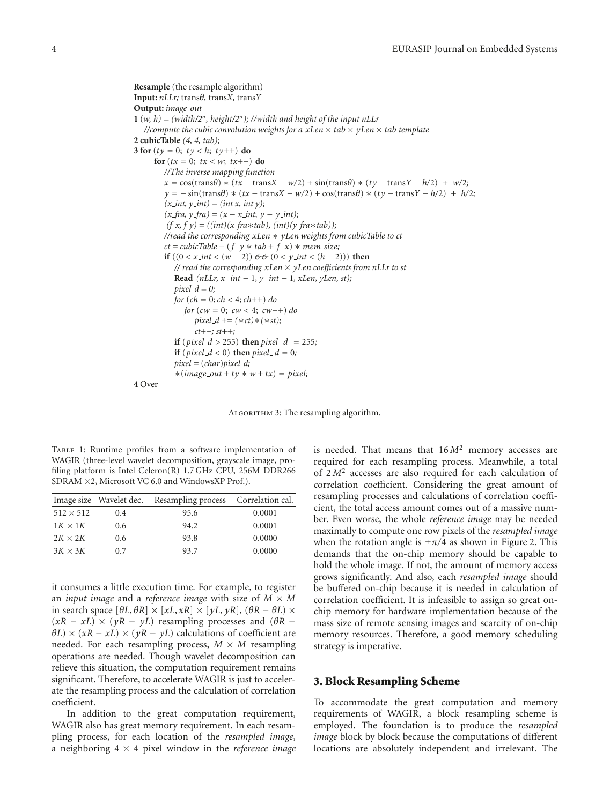**Resample** (the resample algorithm) **Input:** *nLLr;* trans*θ,* trans*X,* trans*Y* **Output:** *image out* **1** (*w, h) = (width/2<sup>n</sup>, height/2<sup>n</sup>); //width and height of the input nLLr //compute the cubic convolution weights for a*  $xLen \times tab \times yLen \times tab$  *<i>template* **2 cubicTable** *(4, 4, tab);* **3 for**  $(ty = 0; t y < h; t y++)$  **do for**( $tx = 0$ ;  $tx < w$ ;  $tx++$ ) **do** *//The inverse mapping function*  $x = \cos(\text{trans}\theta) * (tx - \text{trans}X - w/2) + \sin(\text{trans}\theta) * (ty - \text{trans}Y - h/2) + w/2;$ *y* = − sin(trans*θ*) ∗ (*tx* − trans*X* − *w/*2) *+* cos(trans*θ*) ∗ (*ty* − trans*Y* − *h/*2) + *h/*2*;*  $(x \text{in} t, y \text{in} t) = (\text{in} t, x \text{in} t, y);$ *(x fra, y fra) = (x* − *x int, y* − *y int); (f x, f y) = ((int)(x fra*∗*tab), (int)(y fra*∗*tab)); //read the corresponding xLen* ∗ *yLen weights from cubicTable to ct*  $ct = cubicTable + (f_y * tab + f_x) * mem_size;$ **if**  $((0 < x<sub>+</sub> *int* < (*w* − 2)) \&c@(0 < y<sub>+</sub> *int* < (*h* − 2)))$  **then** *// read the corresponding xLen* × *yLen coefficients from nLLr to st* **Read** *(nLLr, x int* − 1*, y int* − 1*, xLen, yLen, st);*  $pixel_d = 0;$ *for* (*ch* = 0;*ch <* 4;*ch*++) *do for* (*cw* = 0; *cw <* 4; *cw*++) *do pixel d += (*∗*ct)*∗*(*∗*st); ct++; st++;* **if** (*pixel\_d* > 255) **then** *pixel\_d* = 255*;* **if** (*pixel\_d* < 0) **then** *pixel\_d* = 0; *pixel =* (*char*)*pixel d;*  $*(image\_out + ty * w + tx) = pixel;$ **4** Over

Algorithm 3: The resampling algorithm.

Table 1: Runtime profiles from a software implementation of WAGIR (three-level wavelet decomposition, grayscale image, profiling platform is Intel Celeron(R) 1.7 GHz CPU, 256M DDR266 SDRAM ×2, Microsoft VC 6.0 and WindowsXP Prof.).

|                  |               | Image size Wavelet dec. Resampling process Correlation cal. |        |
|------------------|---------------|-------------------------------------------------------------|--------|
| $512 \times 512$ | 0.4           | 95.6                                                        | 0.0001 |
| $1K \times 1K$   | $0.6^{\circ}$ | 94.2                                                        | 0.0001 |
| $2K \times 2K$   | 0.6           | 93.8                                                        | 0.0000 |
| $3K \times 3K$   | 0.7           | 93.7                                                        | 0.0000 |

it consumes a little execution time. For example, to register an *input image* and a *reference image* with size of *M* × *M* in search space [*θL*, *θR*] × [*xL*, *xR*] × [*yL*, *yR*], (*θR* − *θL*) ×  $(xR - xL) \times (yR - yL)$  resampling processes and  $(\theta R - xL)$  $\theta L$ ) × (*xR* – *xL*) × (*yR* – *yL*) calculations of coefficient are needed. For each resampling process,  $M \times M$  resampling operations are needed. Though wavelet decomposition can relieve this situation, the computation requirement remains significant. Therefore, to accelerate WAGIR is just to accelerate the resampling process and the calculation of correlation coefficient.

In addition to the great computation requirement, WAGIR also has great memory requirement. In each resampling process, for each location of the *resampled image*, a neighboring 4 × 4 pixel window in the *reference image*

is needed. That means that 16 *M*<sup>2</sup> memory accesses are required for each resampling process. Meanwhile, a total of 2 *M*<sup>2</sup> accesses are also required for each calculation of correlation coefficient. Considering the great amount of resampling processes and calculations of correlation coefficient, the total access amount comes out of a massive number. Even worse, the whole *reference image* may be needed maximally to compute one row pixels of the *resampled image* when the rotation angle is  $\pm \pi/4$  as shown in Figure 2. This demands that the on-chip memory should be capable to hold the whole image. If not, the amount of memory access grows significantly. And also, each *resampled image* should be buffered on-chip because it is needed in calculation of correlation coefficient. It is infeasible to assign so great onchip memory for hardware implementation because of the mass size of remote sensing images and scarcity of on-chip memory resources. Therefore, a good memory scheduling strategy is imperative.

#### **3. Block Resampling Scheme**

To accommodate the great computation and memory requirements of WAGIR, a block resampling scheme is employed. The foundation is to produce the *resampled image* block by block because the computations of different locations are absolutely independent and irrelevant. The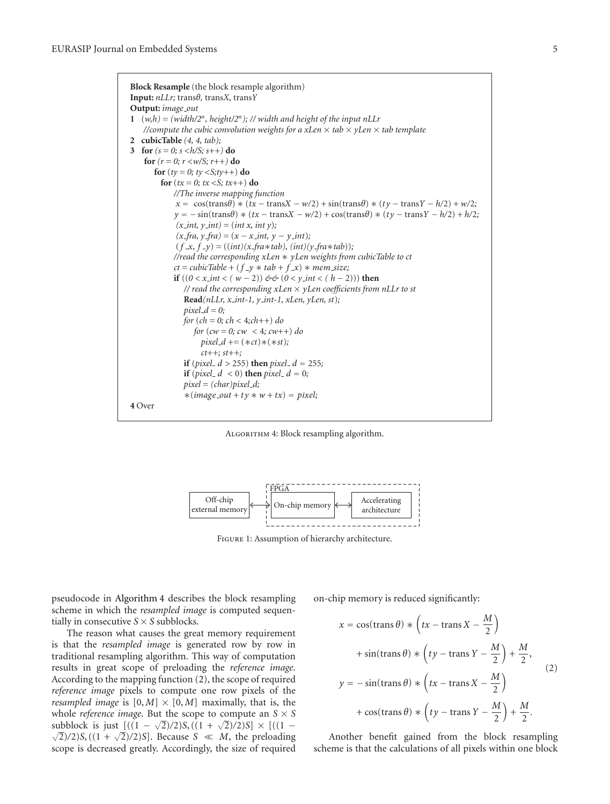

Algorithm 4: Block resampling algorithm.



Figure 1: Assumption of hierarchy architecture.

pseudocode in Algorithm 4 describes the block resampling scheme in which the *resampled image* is computed sequentially in consecutive  $S \times S$  subblocks.

The reason what causes the great memory requirement is that the *resampled image* is generated row by row in traditional resampling algorithm. This way of computation results in great scope of preloading the *reference image*. According to the mapping function (2), the scope of required *reference image* pixels to compute one row pixels of the *resampled image* is  $[0, M] \times [0, M]$  maximally, that is, the whole *reference image*. But the scope to compute an  $S \times S$  $\frac{\sinh(\sqrt{3})}{\sinh(\sqrt{3})}$  is just  $[(1 - \sqrt{2})/2)S$ ,  $((1 + \sqrt{2})/2)S] \times [((1 - \sqrt{2})/2)S]$  $\frac{2}{2}$ /2)*S*, ((1 +  $\sqrt{2}$ /2)*S*]. Because *S*  $\ll M$ , the preloading scope is decreased greatly. Accordingly, the size of required on-chip memory is reduced significantly:

$$
x = \cos(\text{trans}\,\theta) * \left(tx - \text{trans}\,X - \frac{M}{2}\right)
$$
  
+  $\sin(\text{trans}\,\theta) * \left(ty - \text{trans}\,Y - \frac{M}{2}\right) + \frac{M}{2},$   

$$
y = -\sin(\text{trans}\,\theta) * \left(tx - \text{trans}\,X - \frac{M}{2}\right)
$$
  
+  $\cos(\text{trans}\,\theta) * \left(ty - \text{trans}\,Y - \frac{M}{2}\right) + \frac{M}{2}.$  (2)

Another benefit gained from the block resampling scheme is that the calculations of all pixels within one block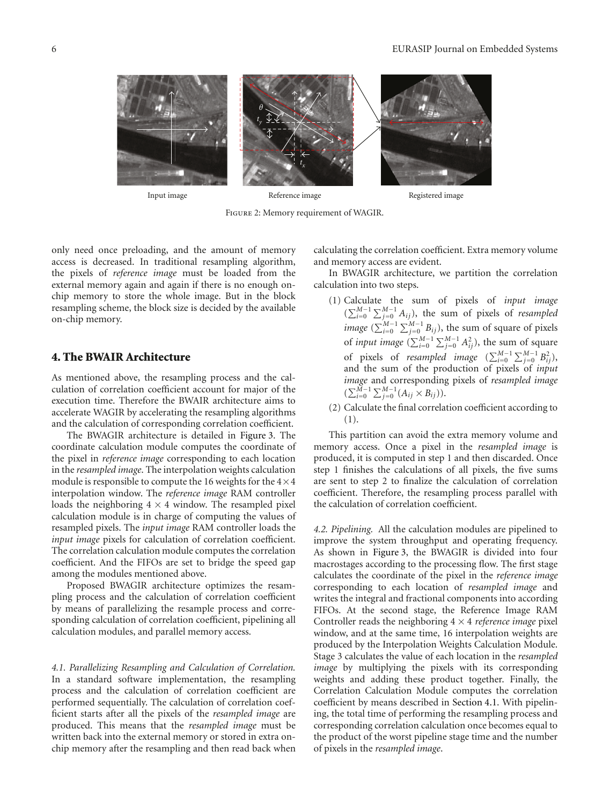

Input image

Reference image Registered image

Figure 2: Memory requirement of WAGIR.

only need once preloading, and the amount of memory access is decreased. In traditional resampling algorithm, the pixels of *reference image* must be loaded from the external memory again and again if there is no enough onchip memory to store the whole image. But in the block resampling scheme, the block size is decided by the available on-chip memory.

# **4. The BWAIR Architecture**

As mentioned above, the resampling process and the calculation of correlation coefficient account for major of the execution time. Therefore the BWAIR architecture aims to accelerate WAGIR by accelerating the resampling algorithms and the calculation of corresponding correlation coefficient.

The BWAGIR architecture is detailed in Figure 3. The coordinate calculation module computes the coordinate of the pixel in *reference image* corresponding to each location in the *resampled image*. The interpolation weights calculation module is responsible to compute the 16 weights for the  $4 \times 4$ interpolation window. The *reference image* RAM controller loads the neighboring  $4 \times 4$  window. The resampled pixel calculation module is in charge of computing the values of resampled pixels. The *input image* RAM controller loads the *input image* pixels for calculation of correlation coefficient. The correlation calculation module computes the correlation coefficient. And the FIFOs are set to bridge the speed gap among the modules mentioned above.

Proposed BWAGIR architecture optimizes the resampling process and the calculation of correlation coefficient by means of parallelizing the resample process and corresponding calculation of correlation coefficient, pipelining all calculation modules, and parallel memory access.

*4.1. Parallelizing Resampling and Calculation of Correlation.* In a standard software implementation, the resampling process and the calculation of correlation coefficient are performed sequentially. The calculation of correlation coefficient starts after all the pixels of the *resampled image* are produced. This means that the *resampled image* must be written back into the external memory or stored in extra onchip memory after the resampling and then read back when calculating the correlation coefficient. Extra memory volume and memory access are evident.

In BWAGIR architecture, we partition the correlation calculation into two steps.

- (1) Calculate the sum of pixels of *input image*  $(\sum_{i=0}^{M-1} \sum_{j=0}^{M-1} A_{ij})$ , the sum of pixels of *resampled image* ( $\sum_{i=0}^{M-1} \sum_{j=0}^{M-1} B_{ij}$ ), the sum of square of pixels of *input image*  $(\sum_{i=0}^{M-1} \sum_{j=0}^{M-1} A_{ij}^2)$ , the sum of square of pixels of *resampled image*  $(\sum_{i=0}^{M-1} \sum_{j=0}^{M-1} B_{ij}^2)$ , and the sum of the production of pixels of *input image* and corresponding pixels of *resampled image*  $(\sum_{i=0}^{M-1} \sum_{j=0}^{M-1} (A_{ij} \times B_{ij})).$
- (2) Calculate the final correlation coefficient according to (1).

This partition can avoid the extra memory volume and memory access. Once a pixel in the *resampled image* is produced, it is computed in step 1 and then discarded. Once step 1 finishes the calculations of all pixels, the five sums are sent to step 2 to finalize the calculation of correlation coefficient. Therefore, the resampling process parallel with the calculation of correlation coefficient.

*4.2. Pipelining.* All the calculation modules are pipelined to improve the system throughput and operating frequency. As shown in Figure 3, the BWAGIR is divided into four macrostages according to the processing flow. The first stage calculates the coordinate of the pixel in the *reference image* corresponding to each location of *resampled image* and writes the integral and fractional components into according FIFOs. At the second stage, the Reference Image RAM Controller reads the neighboring 4 × 4 *reference image* pixel window, and at the same time, 16 interpolation weights are produced by the Interpolation Weights Calculation Module. Stage 3 calculates the value of each location in the *resampled image* by multiplying the pixels with its corresponding weights and adding these product together. Finally, the Correlation Calculation Module computes the correlation coefficient by means described in Section 4.1. With pipelining, the total time of performing the resampling process and corresponding correlation calculation once becomes equal to the product of the worst pipeline stage time and the number of pixels in the *resampled image*.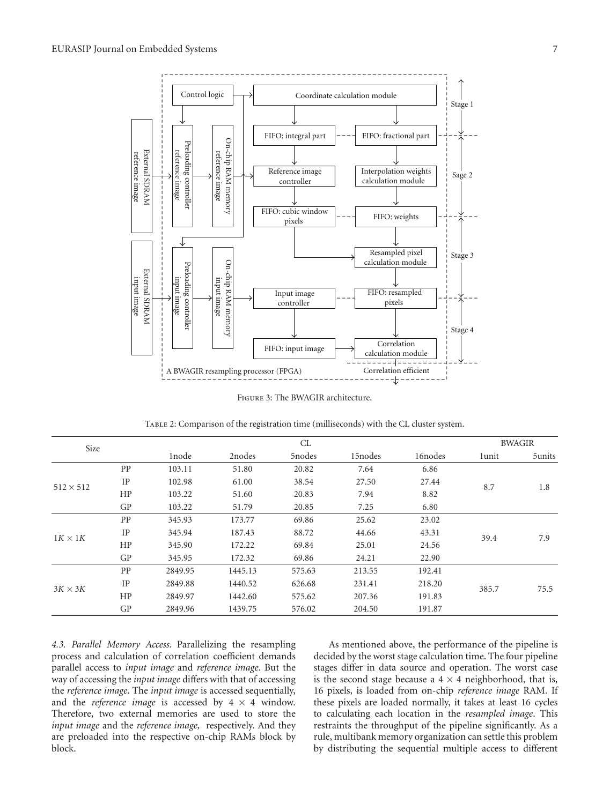

Figure 3: The BWAGIR architecture.

Table 2: Comparison of the registration time (milliseconds) with the CL cluster system.

| Size             |    |         | CL      |        |          | <b>BWAGIR</b> |       |        |
|------------------|----|---------|---------|--------|----------|---------------|-------|--------|
|                  |    | 1node   | 2nodes  | 5nodes | 15 nodes | 16 nodes      | 1unit | 5units |
| $512 \times 512$ | PP | 103.11  | 51.80   | 20.82  | 7.64     | 6.86          | 8.7   | 1.8    |
|                  | IP | 102.98  | 61.00   | 38.54  | 27.50    | 27.44         |       |        |
|                  | HP | 103.22  | 51.60   | 20.83  | 7.94     | 8.82          |       |        |
|                  | GP | 103.22  | 51.79   | 20.85  | 7.25     | 6.80          |       |        |
| $1K \times 1K$   | PP | 345.93  | 173.77  | 69.86  | 25.62    | 23.02         | 39.4  | 7.9    |
|                  | IP | 345.94  | 187.43  | 88.72  | 44.66    | 43.31         |       |        |
|                  | HP | 345.90  | 172.22  | 69.84  | 25.01    | 24.56         |       |        |
|                  | GP | 345.95  | 172.32  | 69.86  | 24.21    | 22.90         |       |        |
| $3K \times 3K$   | PP | 2849.95 | 1445.13 | 575.63 | 213.55   | 192.41        | 385.7 | 75.5   |
|                  | IP | 2849.88 | 1440.52 | 626.68 | 231.41   | 218.20        |       |        |
|                  | HP | 2849.97 | 1442.60 | 575.62 | 207.36   | 191.83        |       |        |
|                  | GP | 2849.96 | 1439.75 | 576.02 | 204.50   | 191.87        |       |        |

*4.3. Parallel Memory Access.* Parallelizing the resampling process and calculation of correlation coefficient demands parallel access to *input image* and *reference image*. But the way of accessing the *input image* differs with that of accessing the *reference image*. The *input image* is accessed sequentially, and the *reference image* is accessed by  $4 \times 4$  window. Therefore, two external memories are used to store the *input image* and the *reference image,* respectively. And they are preloaded into the respective on-chip RAMs block by block.

As mentioned above, the performance of the pipeline is decided by the worst stage calculation time. The four pipeline stages differ in data source and operation. The worst case is the second stage because a  $4 \times 4$  neighborhood, that is, 16 pixels, is loaded from on-chip *reference image* RAM. If these pixels are loaded normally, it takes at least 16 cycles to calculating each location in the *resampled image*. This restraints the throughput of the pipeline significantly. As a rule, multibank memory organization can settle this problem by distributing the sequential multiple access to different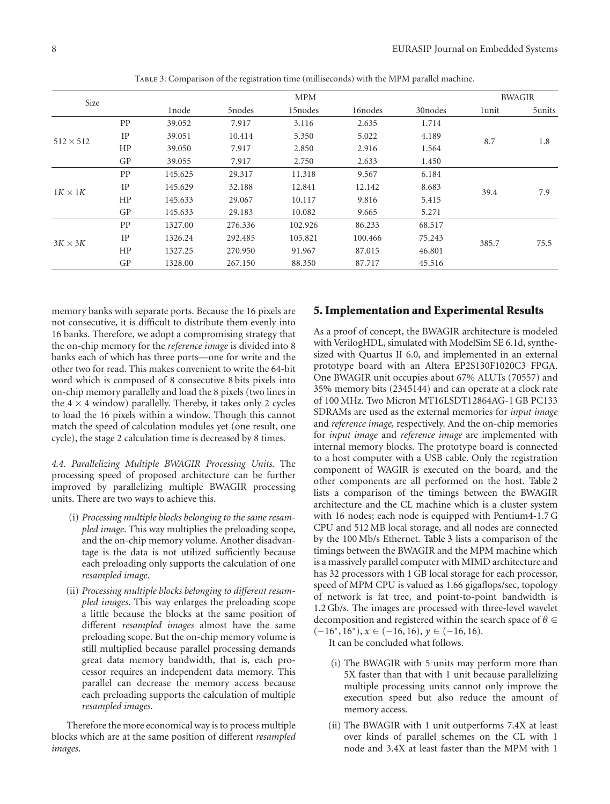| Size             |    |                   | <b>MPM</b> |          |          | <b>BWAGIR</b> |       |        |
|------------------|----|-------------------|------------|----------|----------|---------------|-------|--------|
|                  |    | 1 <sub>node</sub> | 5nodes     | 15 nodes | 16 nodes | 30 nodes      | 1unit | 5units |
| $512 \times 512$ | PP | 39.052            | 7.917      | 3.116    | 2.635    | 1.714         | 8.7   | 1.8    |
|                  | IP | 39.051            | 10.414     | 5.350    | 5.022    | 4.189         |       |        |
|                  | HP | 39.050            | 7.917      | 2.850    | 2.916    | 1.564         |       |        |
|                  | GP | 39.055            | 7.917      | 2.750    | 2.633    | 1.450         |       |        |
| $1K \times 1K$   | PP | 145.625           | 29.317     | 11.318   | 9.567    | 6.184         | 39.4  | 7.9    |
|                  | IP | 145.629           | 32.188     | 12.841   | 12.142   | 8.683         |       |        |
|                  | HP | 145.633           | 29.067     | 10.117   | 9.816    | 5.415         |       |        |
|                  | GP | 145.633           | 29.183     | 10.082   | 9.665    | 5.271         |       |        |
| $3K \times 3K$   | PP | 1327.00           | 276.336    | 102.926  | 86.233   | 68.517        | 385.7 | 75.5   |
|                  | IP | 1326.24           | 292.485    | 105.821  | 100.466  | 75.243        |       |        |
|                  | HP | 1327.25           | 270.950    | 91.967   | 87.015   | 46.801        |       |        |
|                  | GP | 1328.00           | 267.150    | 88.350   | 87.717   | 45.516        |       |        |

TABLE 3: Comparison of the registration time (milliseconds) with the MPM parallel machine.

memory banks with separate ports. Because the 16 pixels are not consecutive, it is difficult to distribute them evenly into 16 banks. Therefore, we adopt a compromising strategy that the on-chip memory for the *reference image* is divided into 8 banks each of which has three ports—one for write and the other two for read. This makes convenient to write the 64-bit word which is composed of 8 consecutive 8 bits pixels into on-chip memory parallelly and load the 8 pixels (two lines in the  $4 \times 4$  window) parallelly. Thereby, it takes only 2 cycles to load the 16 pixels within a window. Though this cannot match the speed of calculation modules yet (one result, one cycle), the stage 2 calculation time is decreased by 8 times.

*4.4. Parallelizing Multiple BWAGIR Processing Units.* The processing speed of proposed architecture can be further improved by parallelizing multiple BWAGIR processing units. There are two ways to achieve this.

- (i) *Processing multiple blocks belonging to the same resampled image*. This way multiplies the preloading scope, and the on-chip memory volume. Another disadvantage is the data is not utilized sufficiently because each preloading only supports the calculation of one *resampled image*.
- (ii) *Processing multiple blocks belonging to different resampled images*. This way enlarges the preloading scope a little because the blocks at the same position of different *resampled images* almost have the same preloading scope. But the on-chip memory volume is still multiplied because parallel processing demands great data memory bandwidth, that is, each processor requires an independent data memory. This parallel can decrease the memory access because each preloading supports the calculation of multiple *resampled images*.

Therefore the more economical way is to process multiple blocks which are at the same position of different *resampled images*.

## **5. Implementation and Experimental Results**

As a proof of concept, the BWAGIR architecture is modeled with VerilogHDL, simulated with ModelSim SE 6.1d, synthesized with Quartus II 6.0, and implemented in an external prototype board with an Altera EP2S130F1020C3 FPGA. One BWAGIR unit occupies about 67% ALUTs (70557) and 35% memory bits (2345144) and can operate at a clock rate of 100 MHz. Two Micron MT16LSDT12864AG-1 GB PC133 SDRAMs are used as the external memories for *input image* and *reference image,* respectively. And the on-chip memories for *input image* and *reference image* are implemented with internal memory blocks. The prototype board is connected to a host computer with a USB cable. Only the registration component of WAGIR is executed on the board, and the other components are all performed on the host. Table 2 lists a comparison of the timings between the BWAGIR architecture and the CL machine which is a cluster system with 16 nodes; each node is equipped with Pentium4-1.7 G CPU and 512 MB local storage, and all nodes are connected by the 100 Mb/s Ethernet. Table 3 lists a comparison of the timings between the BWAGIR and the MPM machine which is a massively parallel computer with MIMD architecture and has 32 processors with 1 GB local storage for each processor, speed of MPM CPU is valued as 1.66 gigaflops/sec, topology of network is fat tree, and point-to-point bandwidth is 1.2 Gb/s. The images are processed with three-level wavelet decomposition and registered within the search space of *θ* ∈ (−16◦, 16◦), *x* ∈ (−16, 16), *y* ∈ (−16, 16).

It can be concluded what follows.

- (i) The BWAGIR with 5 units may perform more than 5X faster than that with 1 unit because parallelizing multiple processing units cannot only improve the execution speed but also reduce the amount of memory access.
- (ii) The BWAGIR with 1 unit outperforms 7.4X at least over kinds of parallel schemes on the CL with 1 node and 3.4X at least faster than the MPM with 1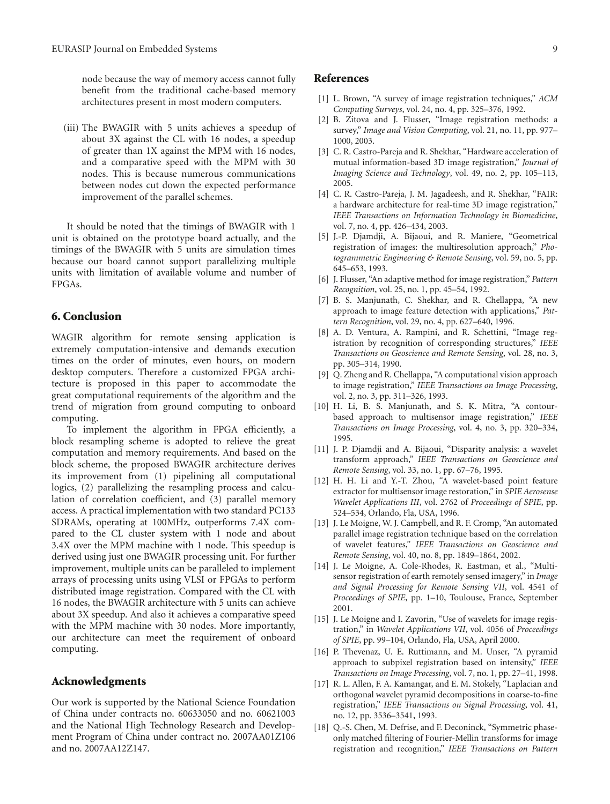node because the way of memory access cannot fully benefit from the traditional cache-based memory architectures present in most modern computers.

(iii) The BWAGIR with 5 units achieves a speedup of about 3X against the CL with 16 nodes, a speedup of greater than 1X against the MPM with 16 nodes, and a comparative speed with the MPM with 30 nodes. This is because numerous communications between nodes cut down the expected performance improvement of the parallel schemes.

It should be noted that the timings of BWAGIR with 1 unit is obtained on the prototype board actually, and the timings of the BWAGIR with 5 units are simulation times because our board cannot support parallelizing multiple units with limitation of available volume and number of FPGAs.

### **6. Conclusion**

WAGIR algorithm for remote sensing application is extremely computation-intensive and demands execution times on the order of minutes, even hours, on modern desktop computers. Therefore a customized FPGA architecture is proposed in this paper to accommodate the great computational requirements of the algorithm and the trend of migration from ground computing to onboard computing.

To implement the algorithm in FPGA efficiently, a block resampling scheme is adopted to relieve the great computation and memory requirements. And based on the block scheme, the proposed BWAGIR architecture derives its improvement from (1) pipelining all computational logics, (2) parallelizing the resampling process and calculation of correlation coefficient, and (3) parallel memory access. A practical implementation with two standard PC133 SDRAMs, operating at 100MHz, outperforms 7.4X compared to the CL cluster system with 1 node and about 3.4X over the MPM machine with 1 node. This speedup is derived using just one BWAGIR processing unit. For further improvement, multiple units can be paralleled to implement arrays of processing units using VLSI or FPGAs to perform distributed image registration. Compared with the CL with 16 nodes, the BWAGIR architecture with 5 units can achieve about 3X speedup. And also it achieves a comparative speed with the MPM machine with 30 nodes. More importantly, our architecture can meet the requirement of onboard computing.

### **Acknowledgments**

Our work is supported by the National Science Foundation of China under contracts no. 60633050 and no. 60621003 and the National High Technology Research and Development Program of China under contract no. 2007AA01Z106 and no. 2007AA12Z147.

#### **References**

- [1] L. Brown, "A survey of image registration techniques," *ACM Computing Surveys*, vol. 24, no. 4, pp. 325–376, 1992.
- [2] B. Zitova and J. Flusser, "Image registration methods: a survey," *Image and Vision Computing*, vol. 21, no. 11, pp. 977– 1000, 2003.
- [3] C. R. Castro-Pareja and R. Shekhar, "Hardware acceleration of mutual information-based 3D image registration," *Journal of Imaging Science and Technology*, vol. 49, no. 2, pp. 105–113, 2005.
- [4] C. R. Castro-Pareja, J. M. Jagadeesh, and R. Shekhar, "FAIR: a hardware architecture for real-time 3D image registration," *IEEE Transactions on Information Technology in Biomedicine*, vol. 7, no. 4, pp. 426–434, 2003.
- [5] J.-P. Djamdji, A. Bijaoui, and R. Maniere, "Geometrical registration of images: the multiresolution approach," *Photogrammetric Engineering & Remote Sensing*, vol. 59, no. 5, pp. 645–653, 1993.
- [6] J. Flusser, "An adaptive method for image registration," *Pattern Recognition*, vol. 25, no. 1, pp. 45–54, 1992.
- [7] B. S. Manjunath, C. Shekhar, and R. Chellappa, "A new approach to image feature detection with applications," *Pattern Recognition*, vol. 29, no. 4, pp. 627–640, 1996.
- [8] A. D. Ventura, A. Rampini, and R. Schettini, "Image registration by recognition of corresponding structures," *IEEE Transactions on Geoscience and Remote Sensing*, vol. 28, no. 3, pp. 305–314, 1990.
- [9] Q. Zheng and R. Chellappa, "A computational vision approach to image registration," *IEEE Transactions on Image Processing*, vol. 2, no. 3, pp. 311–326, 1993.
- [10] H. Li, B. S. Manjunath, and S. K. Mitra, "A contourbased approach to multisensor image registration," *IEEE Transactions on Image Processing*, vol. 4, no. 3, pp. 320–334, 1995.
- [11] J. P. Djamdji and A. Bijaoui, "Disparity analysis: a wavelet transform approach," *IEEE Transactions on Geoscience and Remote Sensing*, vol. 33, no. 1, pp. 67–76, 1995.
- [12] H. H. Li and Y.-T. Zhou, "A wavelet-based point feature extractor for multisensor image restoration," in *SPIE Aerosense Wavelet Applications III*, vol. 2762 of *Proceedings of SPIE*, pp. 524–534, Orlando, Fla, USA, 1996.
- [13] J. Le Moigne, W. J. Campbell, and R. F. Cromp, "An automated parallel image registration technique based on the correlation of wavelet features," *IEEE Transactions on Geoscience and Remote Sensing*, vol. 40, no. 8, pp. 1849–1864, 2002.
- [14] J. Le Moigne, A. Cole-Rhodes, R. Eastman, et al., "Multisensor registration of earth remotely sensed imagery," in *Image and Signal Processing for Remote Sensing VII*, vol. 4541 of *Proceedings of SPIE*, pp. 1–10, Toulouse, France, September 2001.
- [15] J. Le Moigne and I. Zavorin, "Use of wavelets for image registration," in *Wavelet Applications VII*, vol. 4056 of *Proceedings of SPIE*, pp. 99–104, Orlando, Fla, USA, April 2000.
- [16] P. Thevenaz, U. E. Ruttimann, and M. Unser, "A pyramid approach to subpixel registration based on intensity," *IEEE Transactions on Image Processing*, vol. 7, no. 1, pp. 27–41, 1998.
- [17] R. L. Allen, F. A. Kamangar, and E. M. Stokely, "Laplacian and orthogonal wavelet pyramid decompositions in coarse-to-fine registration," *IEEE Transactions on Signal Processing*, vol. 41, no. 12, pp. 3536–3541, 1993.
- [18] O.-S. Chen, M. Defrise, and F. Deconinck, "Symmetric phaseonly matched filtering of Fourier-Mellin transforms for image registration and recognition," *IEEE Transactions on Pattern*